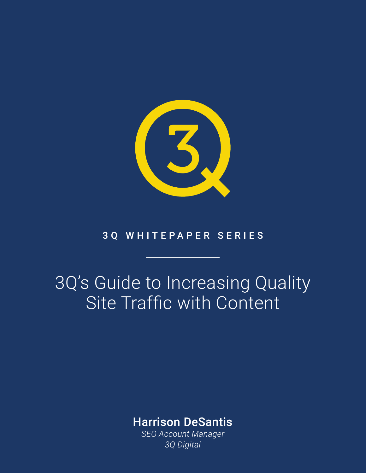

#### 3Q WHITEPAPER SERIES

# 3Q's Guide to Increasing Quality Site Traffic with Content

### Harrison DeSantis

*SEO Account Manager 3Q Digital*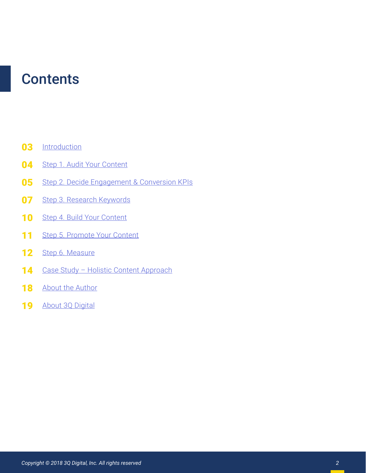## **Contents**

- **[Introduction](#page-2-0)** 03
- [Step 1. Audit Your Content](#page--1-0) 04
- [Step 2. Decide Engagement & Conversion KPIs](#page--1-0) 05
- [Step 3. Research Keywords](#page--1-0) 07
- [Step 4. Build Your Content](#page--1-0) 10
- [Step 5. Promote Your Content](#page--1-0) 11
- [Step 6. Measure](#page--1-0) 12
- [Case Study Holistic Content Approach](#page--1-0) 14
- [About the Author](#page--1-0) 18
- [About 3Q Digital](#page--1-0) 19